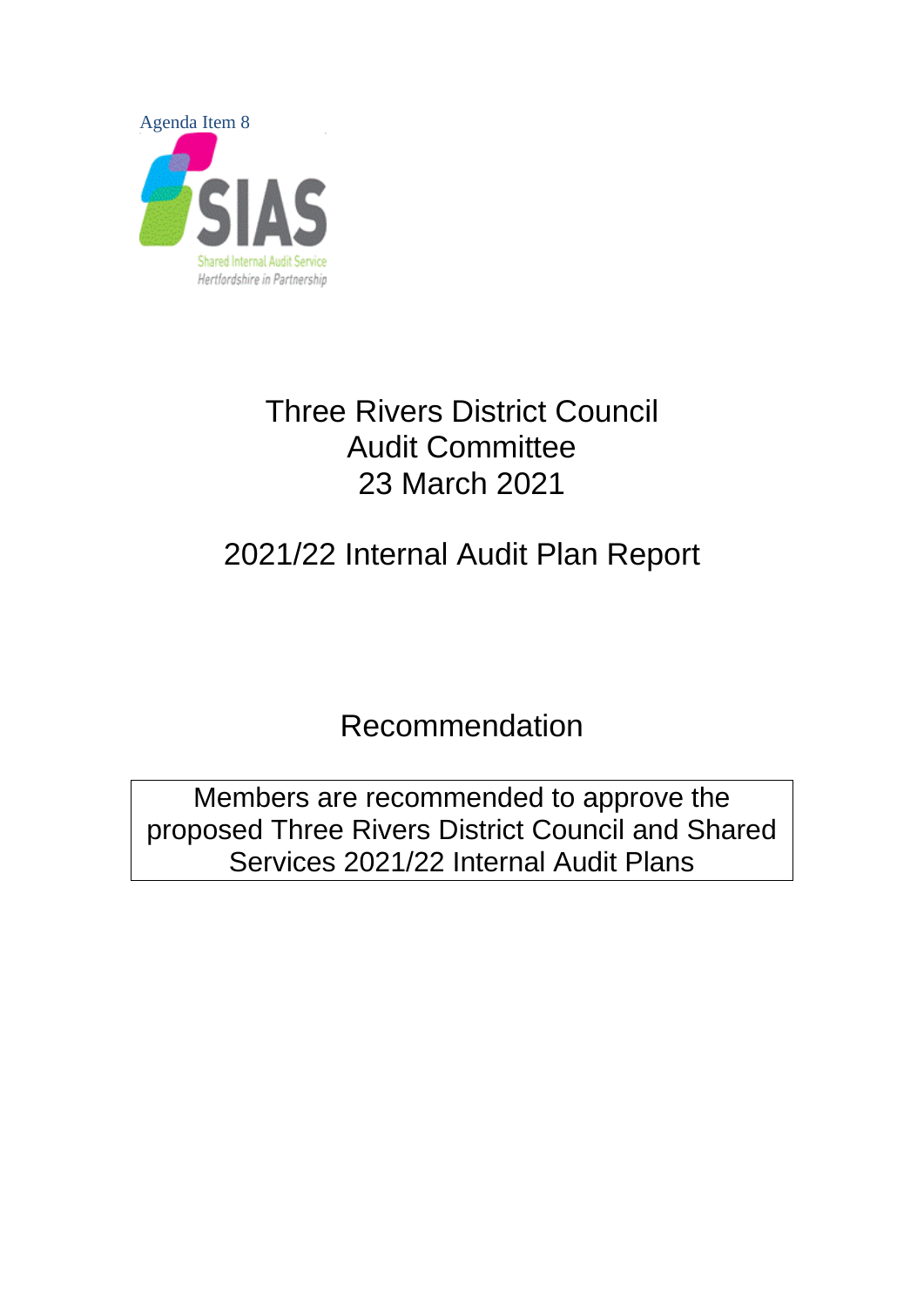

## Three Rivers District Council Audit Committee 23 March 2021

# 2021/22 Internal Audit Plan Report

Recommendation

Members are recommended to approve the proposed Three Rivers District Council and Shared Services 2021/22 Internal Audit Plans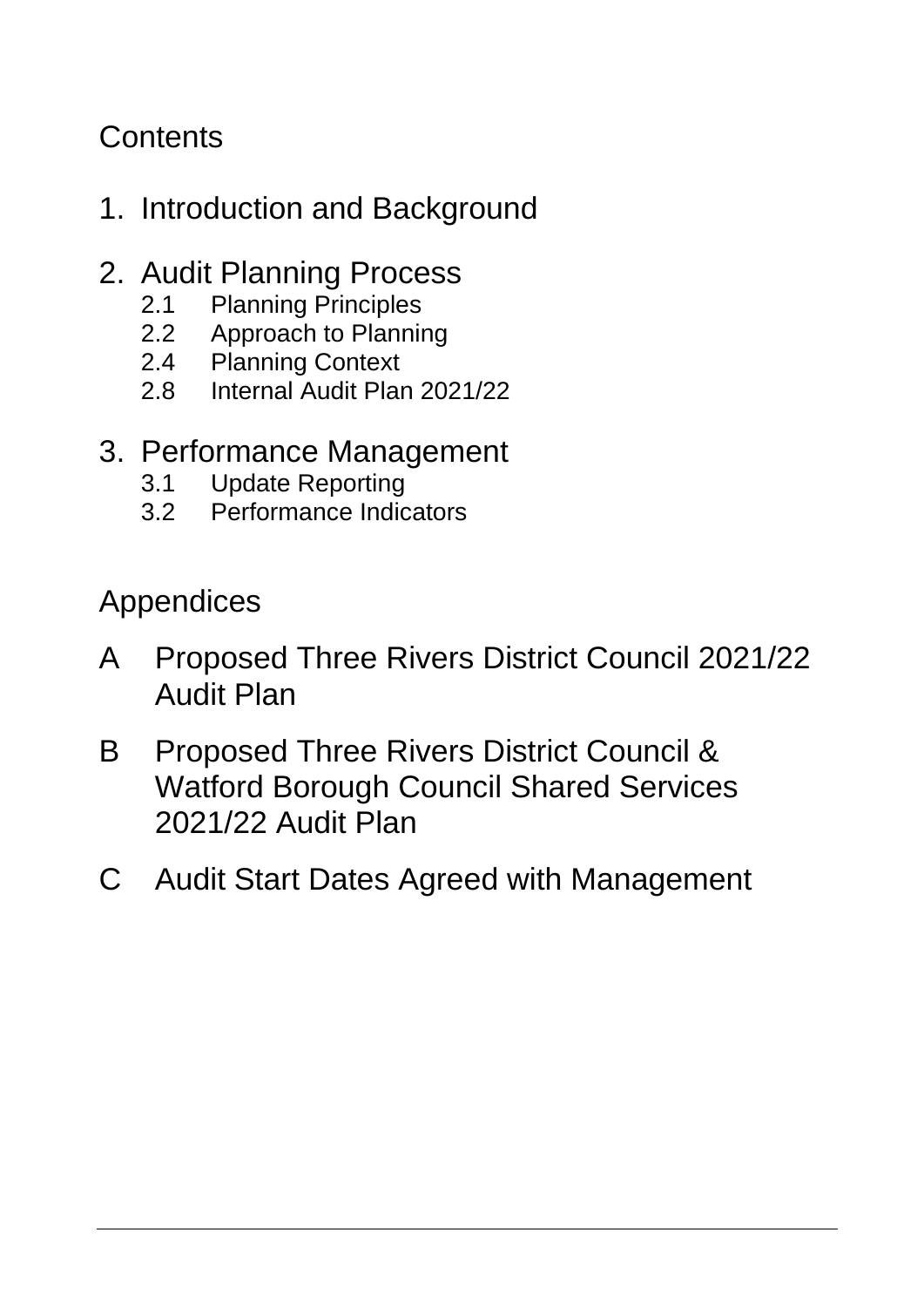## **Contents**

## 1. Introduction and Background

### 2. Audit Planning Process

- 
- 2.1 Planning Principles<br>2.2 Approach to Planni Approach to Planning
- 2.4 Planning Context
- 2.8 Internal Audit Plan 2021/22

### 3. Performance Management

- 3.1 Update Reporting
- 3.2 Performance Indicators

Appendices

- A Proposed Three Rivers District Council 2021/22 Audit Plan
- B Proposed Three Rivers District Council & Watford Borough Council Shared Services 2021/22 Audit Plan
- C Audit Start Dates Agreed with Management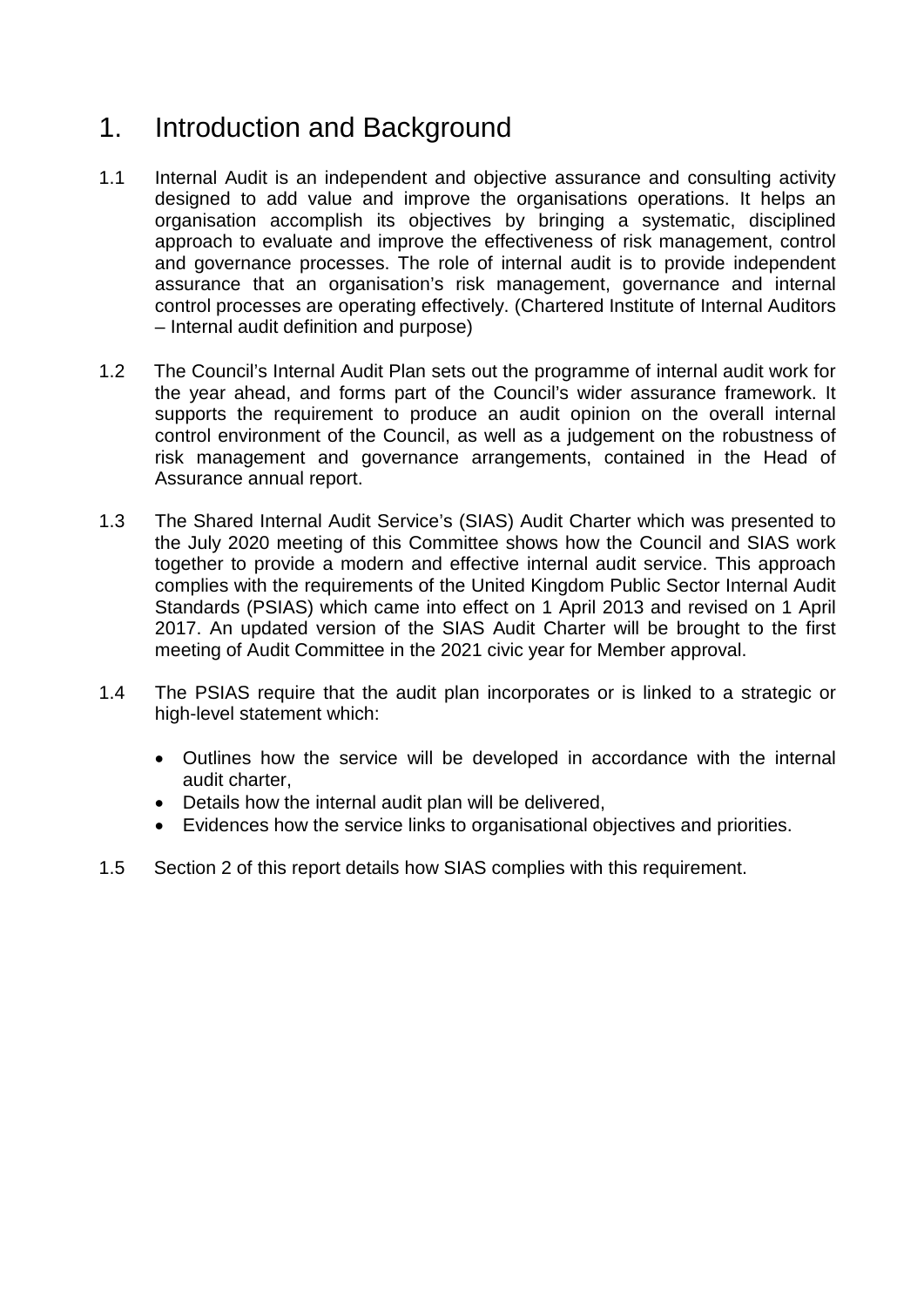### 1. Introduction and Background

- 1.1 Internal Audit is an independent and objective assurance and consulting activity designed to add value and improve the organisations operations. It helps an organisation accomplish its objectives by bringing a systematic, disciplined approach to evaluate and improve the effectiveness of risk management, control and governance processes. The role of internal audit is to provide independent assurance that an organisation's risk management, governance and internal control processes are operating effectively. (Chartered Institute of Internal Auditors – Internal audit definition and purpose)
- 1.2 The Council's Internal Audit Plan sets out the programme of internal audit work for the year ahead, and forms part of the Council's wider assurance framework. It supports the requirement to produce an audit opinion on the overall internal control environment of the Council, as well as a judgement on the robustness of risk management and governance arrangements, contained in the Head of Assurance annual report.
- 1.3 The Shared Internal Audit Service's (SIAS) Audit Charter which was presented to the July 2020 meeting of this Committee shows how the Council and SIAS work together to provide a modern and effective internal audit service. This approach complies with the requirements of the United Kingdom Public Sector Internal Audit Standards (PSIAS) which came into effect on 1 April 2013 and revised on 1 April 2017. An updated version of the SIAS Audit Charter will be brought to the first meeting of Audit Committee in the 2021 civic year for Member approval.
- 1.4 The PSIAS require that the audit plan incorporates or is linked to a strategic or high-level statement which:
	- Outlines how the service will be developed in accordance with the internal audit charter,
	- Details how the internal audit plan will be delivered,
	- Evidences how the service links to organisational objectives and priorities.
- 1.5 Section 2 of this report details how SIAS complies with this requirement.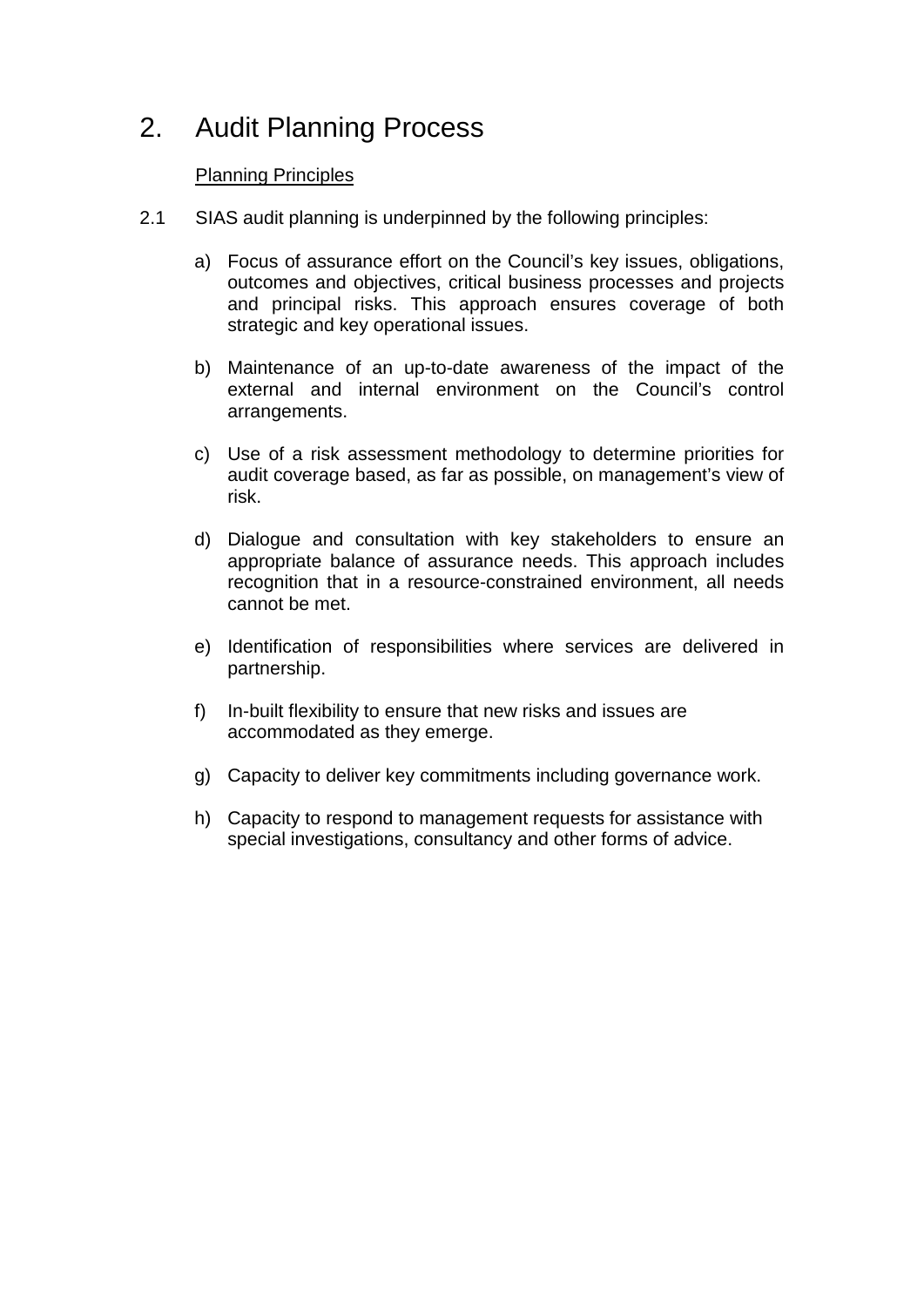### 2. Audit Planning Process

#### Planning Principles

- 2.1 SIAS audit planning is underpinned by the following principles:
	- a) Focus of assurance effort on the Council's key issues, obligations, outcomes and objectives, critical business processes and projects and principal risks. This approach ensures coverage of both strategic and key operational issues.
	- b) Maintenance of an up-to-date awareness of the impact of the external and internal environment on the Council's control arrangements.
	- c) Use of a risk assessment methodology to determine priorities for audit coverage based, as far as possible, on management's view of risk.
	- d) Dialogue and consultation with key stakeholders to ensure an appropriate balance of assurance needs. This approach includes recognition that in a resource-constrained environment, all needs cannot be met.
	- e) Identification of responsibilities where services are delivered in partnership.
	- f) In-built flexibility to ensure that new risks and issues are accommodated as they emerge.
	- g) Capacity to deliver key commitments including governance work.
	- h) Capacity to respond to management requests for assistance with special investigations, consultancy and other forms of advice.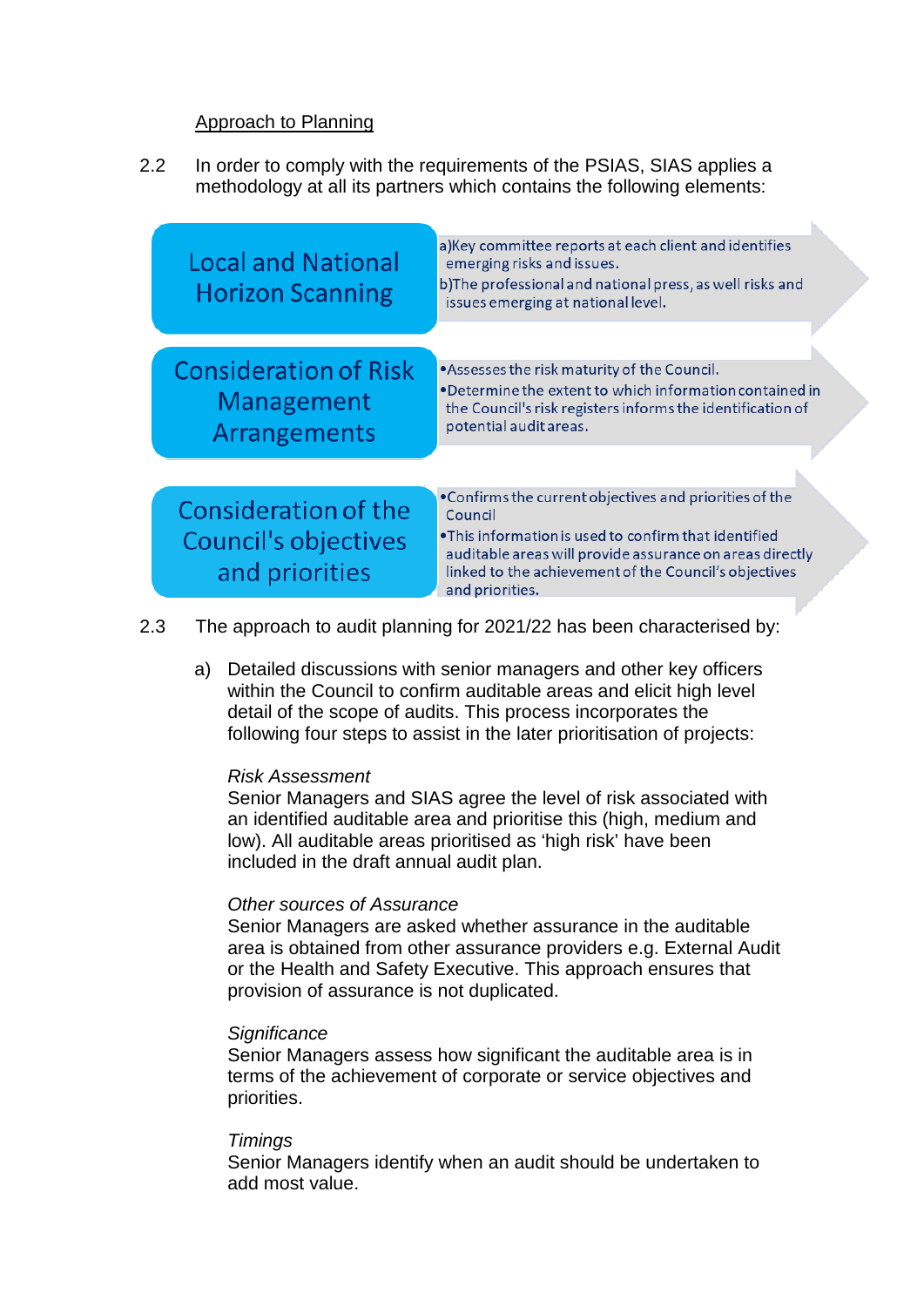#### Approach to Planning

2.2 In order to comply with the requirements of the PSIAS, SIAS applies a methodology at all its partners which contains the following elements:



- 2.3 The approach to audit planning for 2021/22 has been characterised by:
	- a) Detailed discussions with senior managers and other key officers within the Council to confirm auditable areas and elicit high level detail of the scope of audits. This process incorporates the following four steps to assist in the later prioritisation of projects:

#### *Risk Assessment*

Senior Managers and SIAS agree the level of risk associated with an identified auditable area and prioritise this (high, medium and low). All auditable areas prioritised as 'high risk' have been included in the draft annual audit plan.

#### *Other sources of Assurance*

Senior Managers are asked whether assurance in the auditable area is obtained from other assurance providers e.g. External Audit or the Health and Safety Executive. This approach ensures that provision of assurance is not duplicated.

#### *Significance*

Senior Managers assess how significant the auditable area is in terms of the achievement of corporate or service objectives and priorities.

#### *Timings*

Senior Managers identify when an audit should be undertaken to add most value.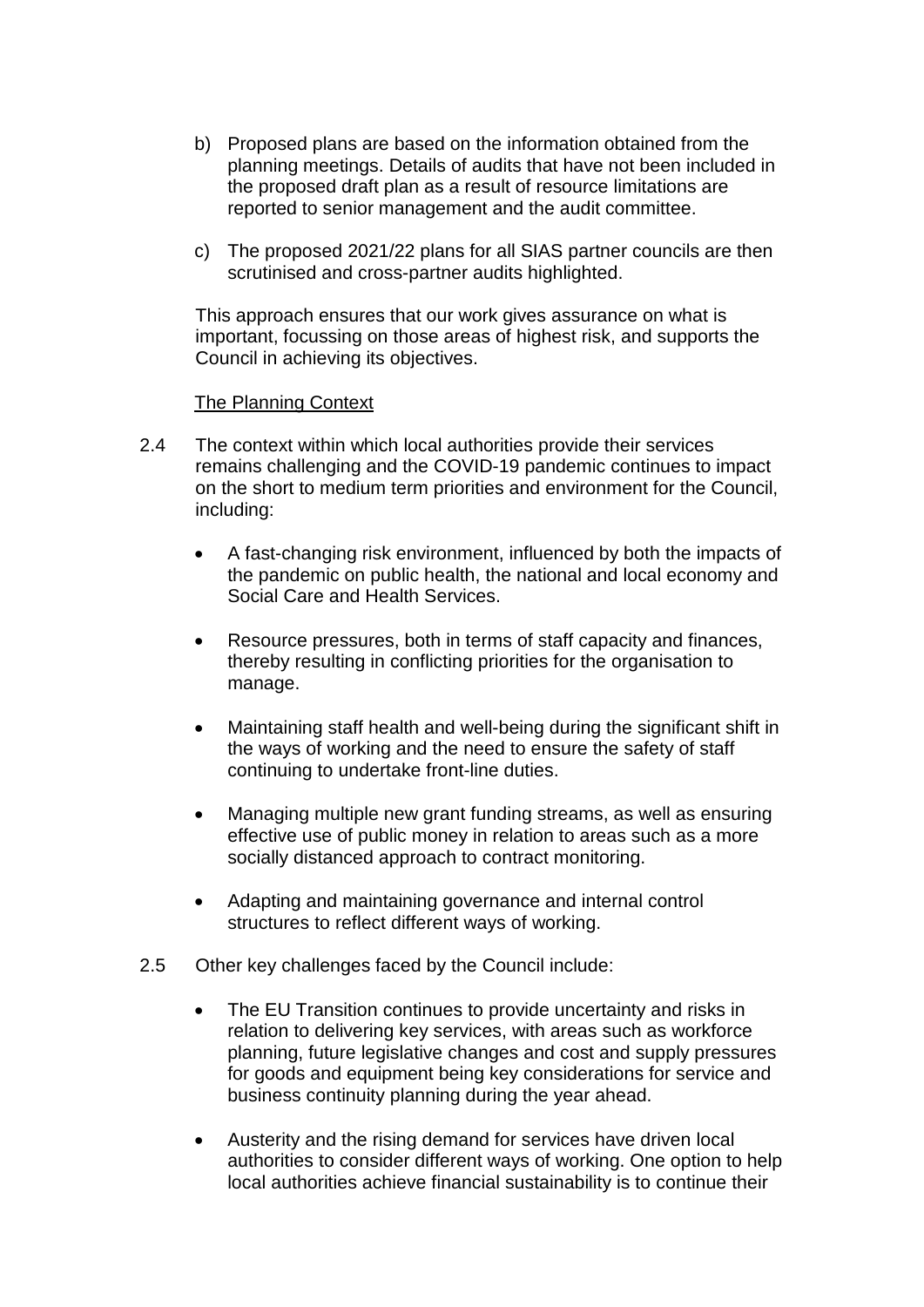- b) Proposed plans are based on the information obtained from the planning meetings. Details of audits that have not been included in the proposed draft plan as a result of resource limitations are reported to senior management and the audit committee.
- c) The proposed 2021/22 plans for all SIAS partner councils are then scrutinised and cross-partner audits highlighted.

This approach ensures that our work gives assurance on what is important, focussing on those areas of highest risk, and supports the Council in achieving its objectives.

#### The Planning Context

- 2.4 The context within which local authorities provide their services remains challenging and the COVID-19 pandemic continues to impact on the short to medium term priorities and environment for the Council, including:
	- A fast-changing risk environment, influenced by both the impacts of the pandemic on public health, the national and local economy and Social Care and Health Services.
	- Resource pressures, both in terms of staff capacity and finances, thereby resulting in conflicting priorities for the organisation to manage.
	- Maintaining staff health and well-being during the significant shift in the ways of working and the need to ensure the safety of staff continuing to undertake front-line duties.
	- Managing multiple new grant funding streams, as well as ensuring effective use of public money in relation to areas such as a more socially distanced approach to contract monitoring.
	- Adapting and maintaining governance and internal control structures to reflect different ways of working.
- 2.5 Other key challenges faced by the Council include:
	- The EU Transition continues to provide uncertainty and risks in relation to delivering key services, with areas such as workforce planning, future legislative changes and cost and supply pressures for goods and equipment being key considerations for service and business continuity planning during the year ahead.
	- Austerity and the rising demand for services have driven local authorities to consider different ways of working. One option to help local authorities achieve financial sustainability is to continue their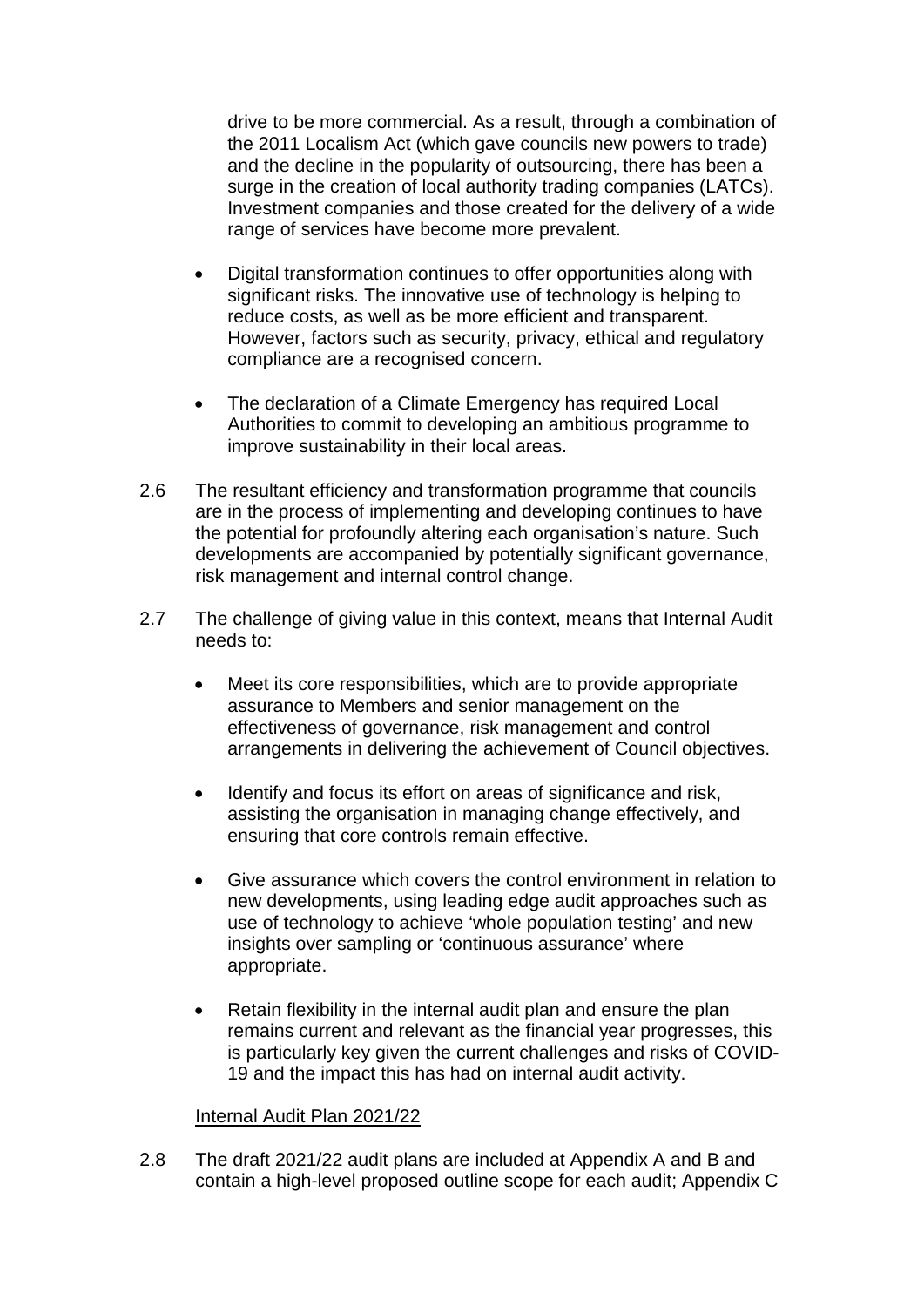drive to be more commercial. As a result, through a combination of the 2011 Localism Act (which gave councils new powers to trade) and the decline in the popularity of outsourcing, there has been a surge in the creation of local authority trading companies (LATCs). Investment companies and those created for the delivery of a wide range of services have become more prevalent.

- Digital transformation continues to offer opportunities along with significant risks. The innovative use of technology is helping to reduce costs, as well as be more efficient and transparent. However, factors such as security, privacy, ethical and regulatory compliance are a recognised concern.
- The declaration of a Climate Emergency has required Local Authorities to commit to developing an ambitious programme to improve sustainability in their local areas.
- 2.6 The resultant efficiency and transformation programme that councils are in the process of implementing and developing continues to have the potential for profoundly altering each organisation's nature. Such developments are accompanied by potentially significant governance, risk management and internal control change.
- 2.7 The challenge of giving value in this context, means that Internal Audit needs to:
	- Meet its core responsibilities, which are to provide appropriate assurance to Members and senior management on the effectiveness of governance, risk management and control arrangements in delivering the achievement of Council objectives.
	- Identify and focus its effort on areas of significance and risk, assisting the organisation in managing change effectively, and ensuring that core controls remain effective.
	- Give assurance which covers the control environment in relation to new developments, using leading edge audit approaches such as use of technology to achieve 'whole population testing' and new insights over sampling or 'continuous assurance' where appropriate.
	- Retain flexibility in the internal audit plan and ensure the plan remains current and relevant as the financial year progresses, this is particularly key given the current challenges and risks of COVID-19 and the impact this has had on internal audit activity.

#### Internal Audit Plan 2021/22

2.8 The draft 2021/22 audit plans are included at Appendix A and B and contain a high-level proposed outline scope for each audit; Appendix C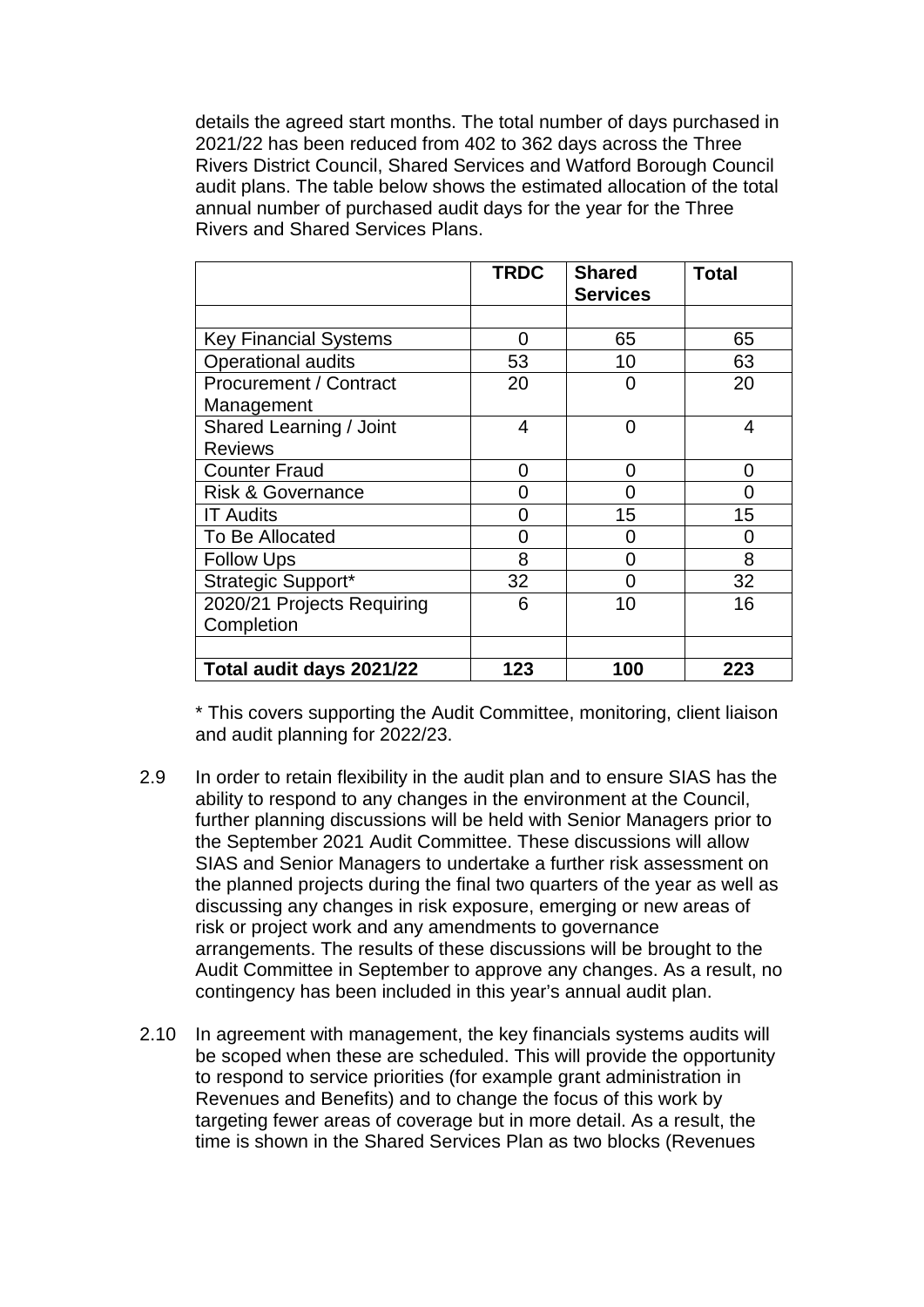details the agreed start months. The total number of days purchased in 2021/22 has been reduced from 402 to 362 days across the Three Rivers District Council, Shared Services and Watford Borough Council audit plans. The table below shows the estimated allocation of the total annual number of purchased audit days for the year for the Three Rivers and Shared Services Plans.

|                               | <b>TRDC</b> | <b>Shared</b><br><b>Services</b> | Total |
|-------------------------------|-------------|----------------------------------|-------|
|                               |             |                                  |       |
| <b>Key Financial Systems</b>  | 0           | 65                               | 65    |
| <b>Operational audits</b>     | 53          | 10                               | 63    |
| <b>Procurement / Contract</b> | 20          | O                                | 20    |
| Management                    |             |                                  |       |
| Shared Learning / Joint       | 4           | 0                                | 4     |
| <b>Reviews</b>                |             |                                  |       |
| <b>Counter Fraud</b>          | 0           | 0                                | ი     |
| <b>Risk &amp; Governance</b>  | O           | 0                                |       |
| <b>IT Audits</b>              | O           | 15                               | 15    |
| To Be Allocated               | O           | O                                | O     |
| <b>Follow Ups</b>             | 8           | ი                                | 8     |
| Strategic Support*            | 32          | ი                                | 32    |
| 2020/21 Projects Requiring    | 6           | 10                               | 16    |
| Completion                    |             |                                  |       |
|                               |             |                                  |       |
| Total audit days 2021/22      | 123         | 100                              | 223   |

\* This covers supporting the Audit Committee, monitoring, client liaison and audit planning for 2022/23.

- 2.9 In order to retain flexibility in the audit plan and to ensure SIAS has the ability to respond to any changes in the environment at the Council, further planning discussions will be held with Senior Managers prior to the September 2021 Audit Committee. These discussions will allow SIAS and Senior Managers to undertake a further risk assessment on the planned projects during the final two quarters of the year as well as discussing any changes in risk exposure, emerging or new areas of risk or project work and any amendments to governance arrangements. The results of these discussions will be brought to the Audit Committee in September to approve any changes. As a result, no contingency has been included in this year's annual audit plan.
- 2.10 In agreement with management, the key financials systems audits will be scoped when these are scheduled. This will provide the opportunity to respond to service priorities (for example grant administration in Revenues and Benefits) and to change the focus of this work by targeting fewer areas of coverage but in more detail. As a result, the time is shown in the Shared Services Plan as two blocks (Revenues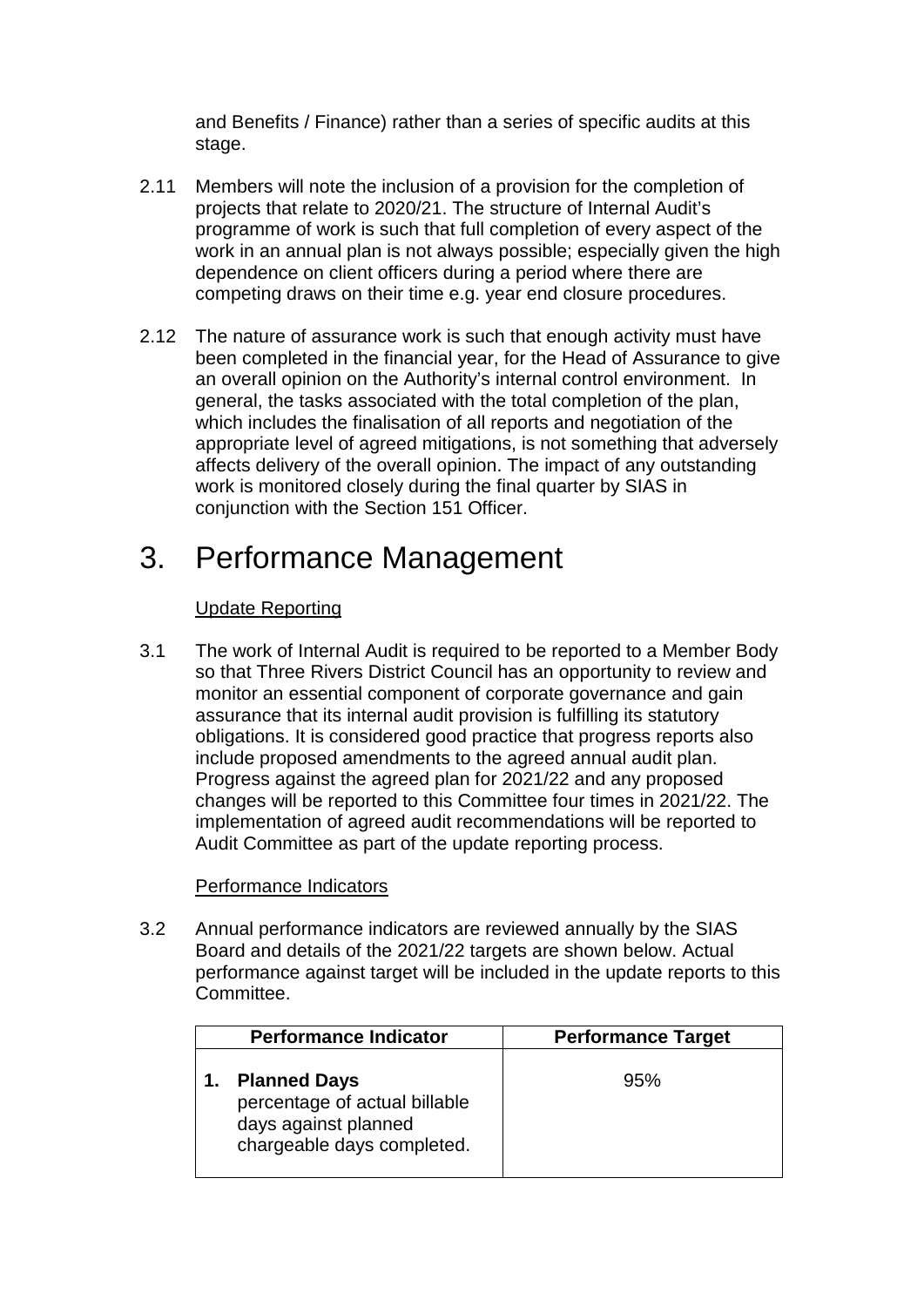and Benefits / Finance) rather than a series of specific audits at this stage.

- 2.11 Members will note the inclusion of a provision for the completion of projects that relate to 2020/21. The structure of Internal Audit's programme of work is such that full completion of every aspect of the work in an annual plan is not always possible; especially given the high dependence on client officers during a period where there are competing draws on their time e.g. year end closure procedures.
- 2.12 The nature of assurance work is such that enough activity must have been completed in the financial year, for the Head of Assurance to give an overall opinion on the Authority's internal control environment. In general, the tasks associated with the total completion of the plan, which includes the finalisation of all reports and negotiation of the appropriate level of agreed mitigations, is not something that adversely affects delivery of the overall opinion. The impact of any outstanding work is monitored closely during the final quarter by SIAS in conjunction with the Section 151 Officer.

### 3. Performance Management

#### Update Reporting

3.1 The work of Internal Audit is required to be reported to a Member Body so that Three Rivers District Council has an opportunity to review and monitor an essential component of corporate governance and gain assurance that its internal audit provision is fulfilling its statutory obligations. It is considered good practice that progress reports also include proposed amendments to the agreed annual audit plan. Progress against the agreed plan for 2021/22 and any proposed changes will be reported to this Committee four times in 2021/22. The implementation of agreed audit recommendations will be reported to Audit Committee as part of the update reporting process.

#### Performance Indicators

3.2 Annual performance indicators are reviewed annually by the SIAS Board and details of the 2021/22 targets are shown below. Actual performance against target will be included in the update reports to this Committee.

| <b>Performance Indicator</b>                                                                               | <b>Performance Target</b> |
|------------------------------------------------------------------------------------------------------------|---------------------------|
| <b>Planned Days</b><br>percentage of actual billable<br>days against planned<br>chargeable days completed. | 95%                       |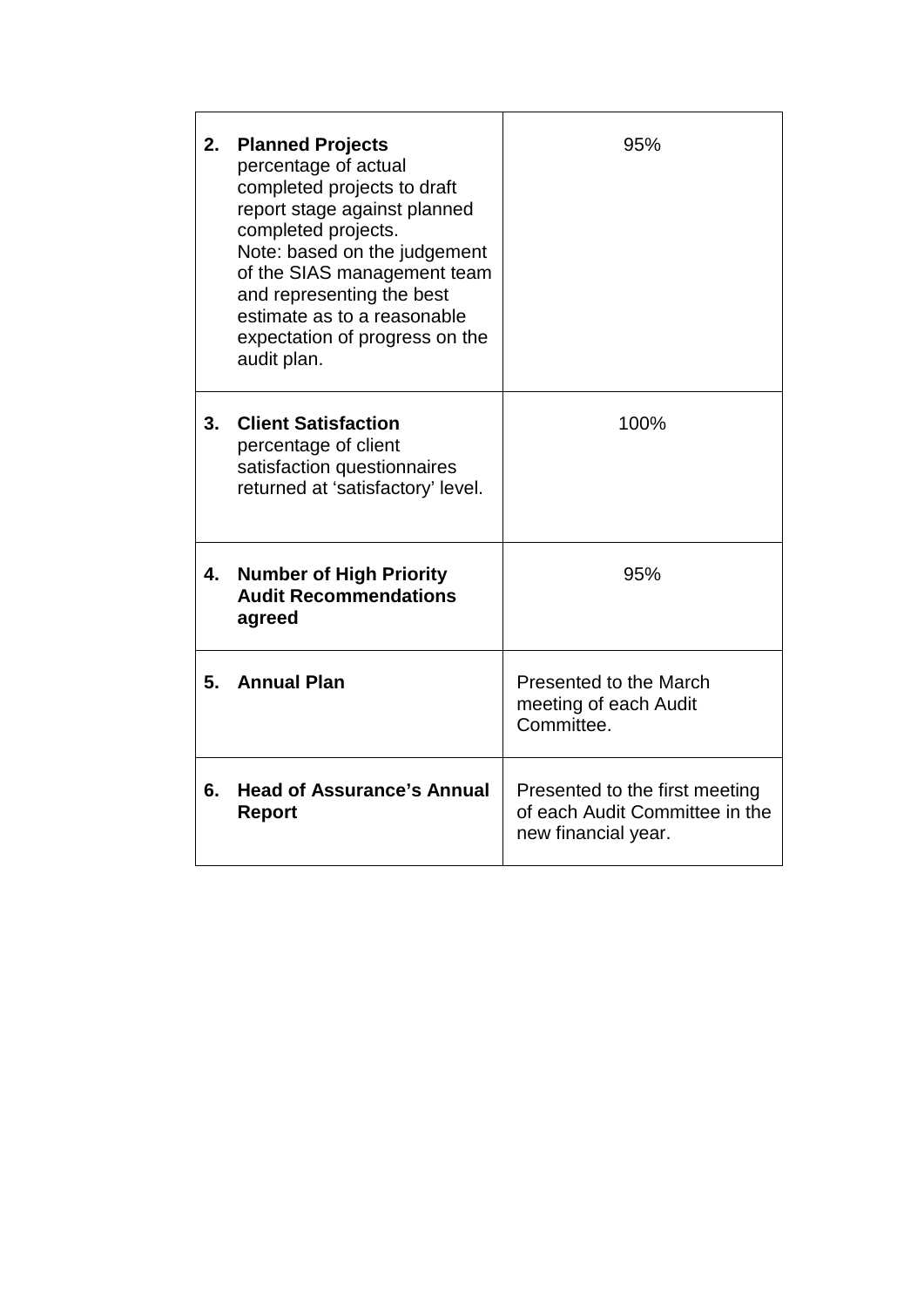| 2. | <b>Planned Projects</b><br>percentage of actual<br>completed projects to draft<br>report stage against planned<br>completed projects.<br>Note: based on the judgement<br>of the SIAS management team<br>and representing the best<br>estimate as to a reasonable<br>expectation of progress on the<br>audit plan. | 95%                                                                                     |
|----|-------------------------------------------------------------------------------------------------------------------------------------------------------------------------------------------------------------------------------------------------------------------------------------------------------------------|-----------------------------------------------------------------------------------------|
| 3. | <b>Client Satisfaction</b><br>percentage of client<br>satisfaction questionnaires<br>returned at 'satisfactory' level.                                                                                                                                                                                            | 100%                                                                                    |
| 4. | <b>Number of High Priority</b><br><b>Audit Recommendations</b><br>agreed                                                                                                                                                                                                                                          | 95%                                                                                     |
| 5. | <b>Annual Plan</b>                                                                                                                                                                                                                                                                                                | Presented to the March<br>meeting of each Audit<br>Committee.                           |
| 6. | <b>Head of Assurance's Annual</b><br><b>Report</b>                                                                                                                                                                                                                                                                | Presented to the first meeting<br>of each Audit Committee in the<br>new financial year. |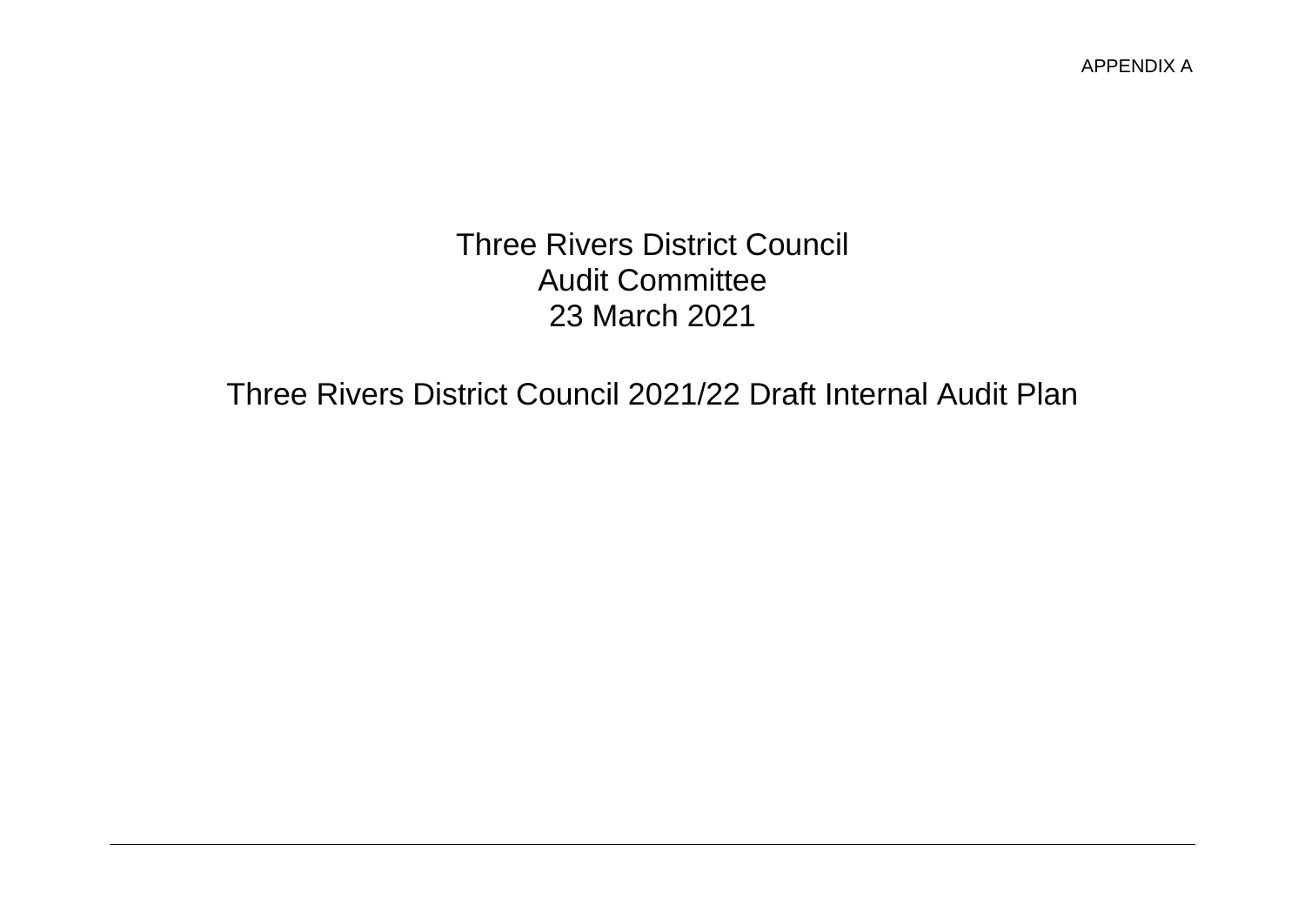Three Rivers District Council Audit Committee 23 March 2021

Three Rivers District Council 2021/22 Draft Internal Audit Plan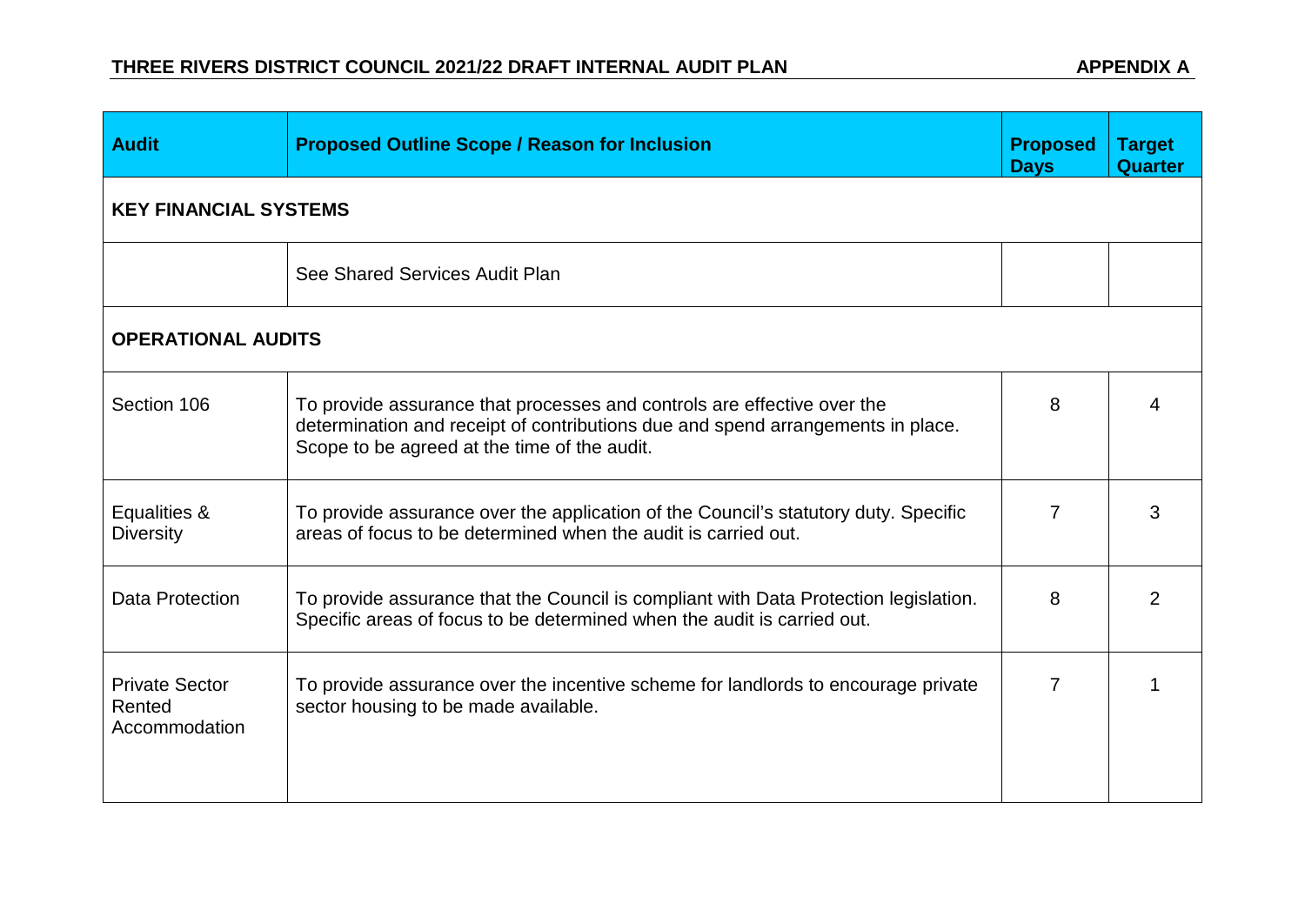| <b>Audit</b>                                     | <b>Proposed Outline Scope / Reason for Inclusion</b>                                                                                                                                                       | <b>Proposed</b><br><b>Days</b> | <b>Target</b><br>Quarter |
|--------------------------------------------------|------------------------------------------------------------------------------------------------------------------------------------------------------------------------------------------------------------|--------------------------------|--------------------------|
| <b>KEY FINANCIAL SYSTEMS</b>                     |                                                                                                                                                                                                            |                                |                          |
|                                                  | See Shared Services Audit Plan                                                                                                                                                                             |                                |                          |
| <b>OPERATIONAL AUDITS</b>                        |                                                                                                                                                                                                            |                                |                          |
| Section 106                                      | To provide assurance that processes and controls are effective over the<br>determination and receipt of contributions due and spend arrangements in place.<br>Scope to be agreed at the time of the audit. | 8                              |                          |
| Equalities &<br><b>Diversity</b>                 | To provide assurance over the application of the Council's statutory duty. Specific<br>areas of focus to be determined when the audit is carried out.                                                      | 7                              | 3                        |
| Data Protection                                  | To provide assurance that the Council is compliant with Data Protection legislation.<br>Specific areas of focus to be determined when the audit is carried out.                                            | 8                              | 2                        |
| <b>Private Sector</b><br>Rented<br>Accommodation | To provide assurance over the incentive scheme for landlords to encourage private<br>sector housing to be made available.                                                                                  | 7                              |                          |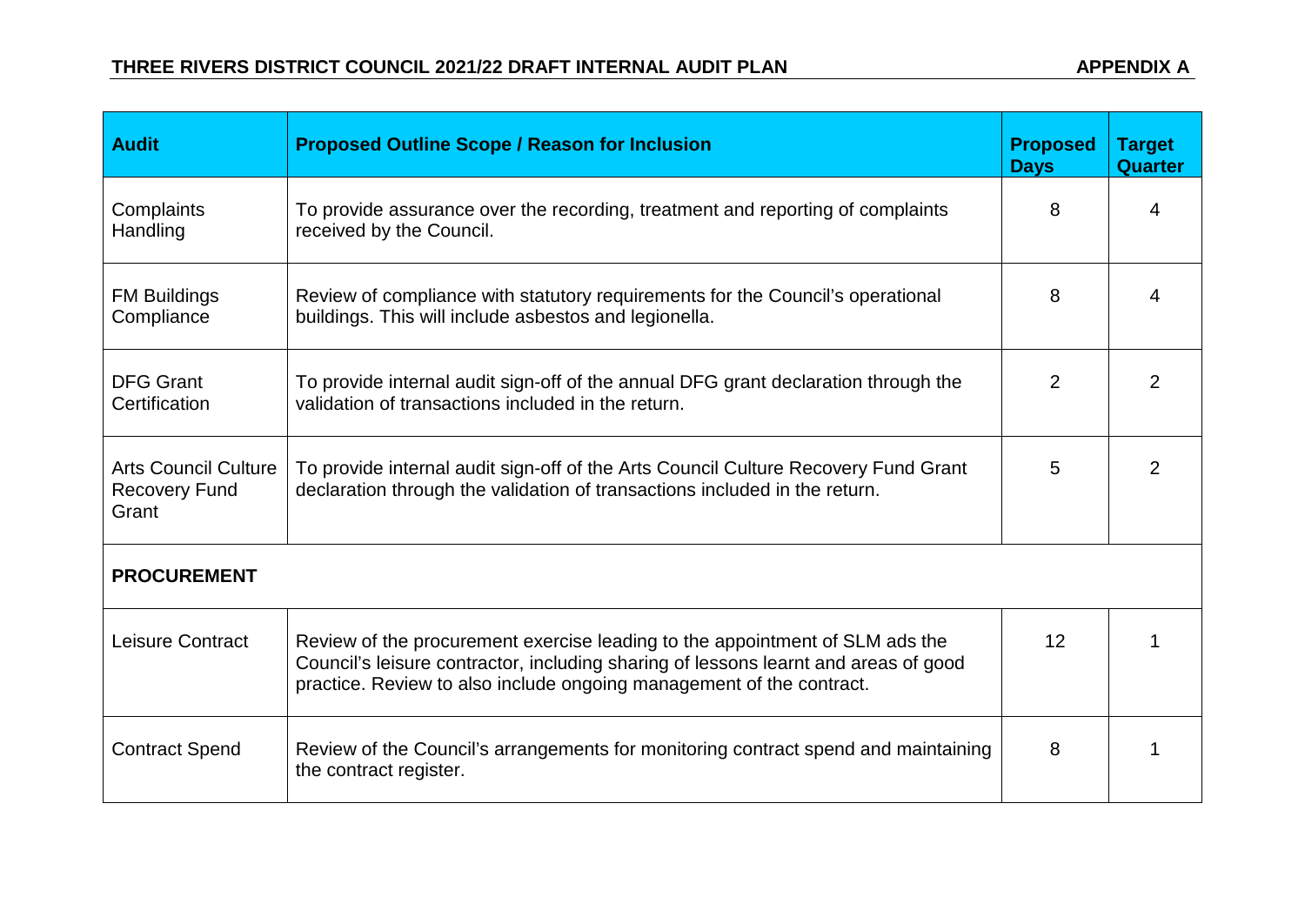| <b>Audit</b>                                                 | <b>Proposed Outline Scope / Reason for Inclusion</b>                                                                                                                                                                                        | <b>Proposed</b><br><b>Days</b> | <b>Target</b><br><b>Quarter</b> |
|--------------------------------------------------------------|---------------------------------------------------------------------------------------------------------------------------------------------------------------------------------------------------------------------------------------------|--------------------------------|---------------------------------|
| Complaints<br>Handling                                       | To provide assurance over the recording, treatment and reporting of complaints<br>received by the Council.                                                                                                                                  | 8                              | 4                               |
| <b>FM Buildings</b><br>Compliance                            | Review of compliance with statutory requirements for the Council's operational<br>buildings. This will include asbestos and legionella.                                                                                                     | 8                              | 4                               |
| <b>DFG Grant</b><br>Certification                            | To provide internal audit sign-off of the annual DFG grant declaration through the<br>validation of transactions included in the return.                                                                                                    | 2                              | 2                               |
| <b>Arts Council Culture</b><br><b>Recovery Fund</b><br>Grant | To provide internal audit sign-off of the Arts Council Culture Recovery Fund Grant<br>declaration through the validation of transactions included in the return.                                                                            |                                | 2                               |
| <b>PROCUREMENT</b>                                           |                                                                                                                                                                                                                                             |                                |                                 |
| Leisure Contract                                             | Review of the procurement exercise leading to the appointment of SLM ads the<br>Council's leisure contractor, including sharing of lessons learnt and areas of good<br>practice. Review to also include ongoing management of the contract. | 12                             |                                 |
| <b>Contract Spend</b>                                        | Review of the Council's arrangements for monitoring contract spend and maintaining<br>the contract register.                                                                                                                                | 8                              |                                 |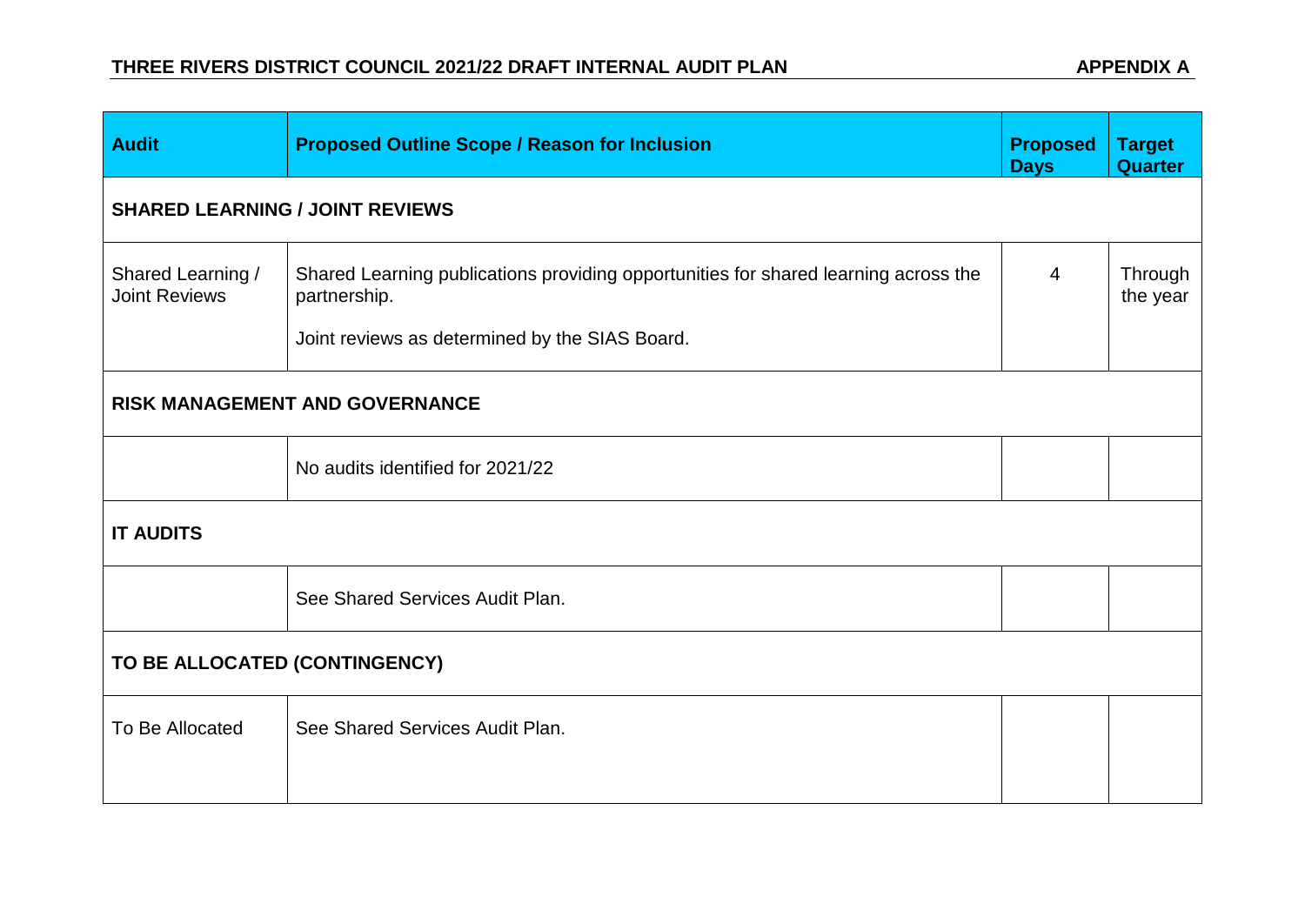| <b>Audit</b>                              | <b>Proposed Outline Scope / Reason for Inclusion</b>                                                                                                  | <b>Proposed</b><br><b>Days</b> | <b>Target</b><br><b>Quarter</b> |  |  |
|-------------------------------------------|-------------------------------------------------------------------------------------------------------------------------------------------------------|--------------------------------|---------------------------------|--|--|
| <b>SHARED LEARNING / JOINT REVIEWS</b>    |                                                                                                                                                       |                                |                                 |  |  |
| Shared Learning /<br><b>Joint Reviews</b> | Shared Learning publications providing opportunities for shared learning across the<br>partnership.<br>Joint reviews as determined by the SIAS Board. | $\overline{4}$                 | Through<br>the year             |  |  |
|                                           | RISK MANAGEMENT AND GOVERNANCE                                                                                                                        |                                |                                 |  |  |
|                                           | No audits identified for 2021/22                                                                                                                      |                                |                                 |  |  |
| <b>IT AUDITS</b>                          |                                                                                                                                                       |                                |                                 |  |  |
|                                           | See Shared Services Audit Plan.                                                                                                                       |                                |                                 |  |  |
| TO BE ALLOCATED (CONTINGENCY)             |                                                                                                                                                       |                                |                                 |  |  |
| To Be Allocated                           | See Shared Services Audit Plan.                                                                                                                       |                                |                                 |  |  |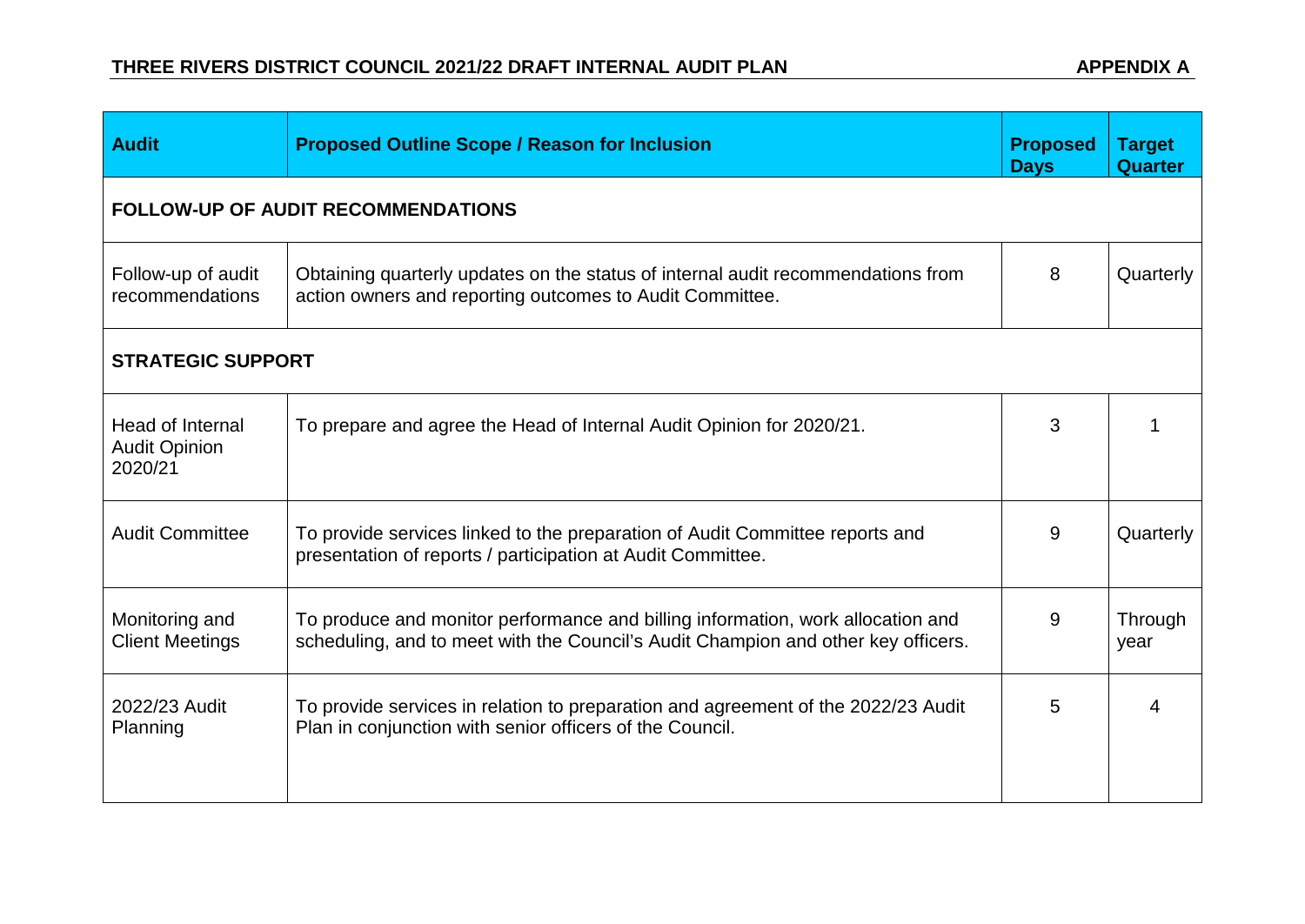| <b>Audit</b>                                        | <b>Proposed Outline Scope / Reason for Inclusion</b>                                                                                                                 | <b>Proposed</b><br><b>Days</b> | <b>Target</b><br><b>Quarter</b> |
|-----------------------------------------------------|----------------------------------------------------------------------------------------------------------------------------------------------------------------------|--------------------------------|---------------------------------|
|                                                     | <b>FOLLOW-UP OF AUDIT RECOMMENDATIONS</b>                                                                                                                            |                                |                                 |
| Follow-up of audit<br>recommendations               | Obtaining quarterly updates on the status of internal audit recommendations from<br>action owners and reporting outcomes to Audit Committee.                         | 8                              | Quarterly                       |
| <b>STRATEGIC SUPPORT</b>                            |                                                                                                                                                                      |                                |                                 |
| Head of Internal<br><b>Audit Opinion</b><br>2020/21 | To prepare and agree the Head of Internal Audit Opinion for 2020/21.                                                                                                 | 3                              |                                 |
| <b>Audit Committee</b>                              | To provide services linked to the preparation of Audit Committee reports and<br>presentation of reports / participation at Audit Committee.                          | 9                              | Quarterly                       |
| Monitoring and<br><b>Client Meetings</b>            | To produce and monitor performance and billing information, work allocation and<br>scheduling, and to meet with the Council's Audit Champion and other key officers. | 9                              | Through<br>year                 |
| 2022/23 Audit<br>Planning                           | To provide services in relation to preparation and agreement of the 2022/23 Audit<br>Plan in conjunction with senior officers of the Council.                        | 5                              | 4                               |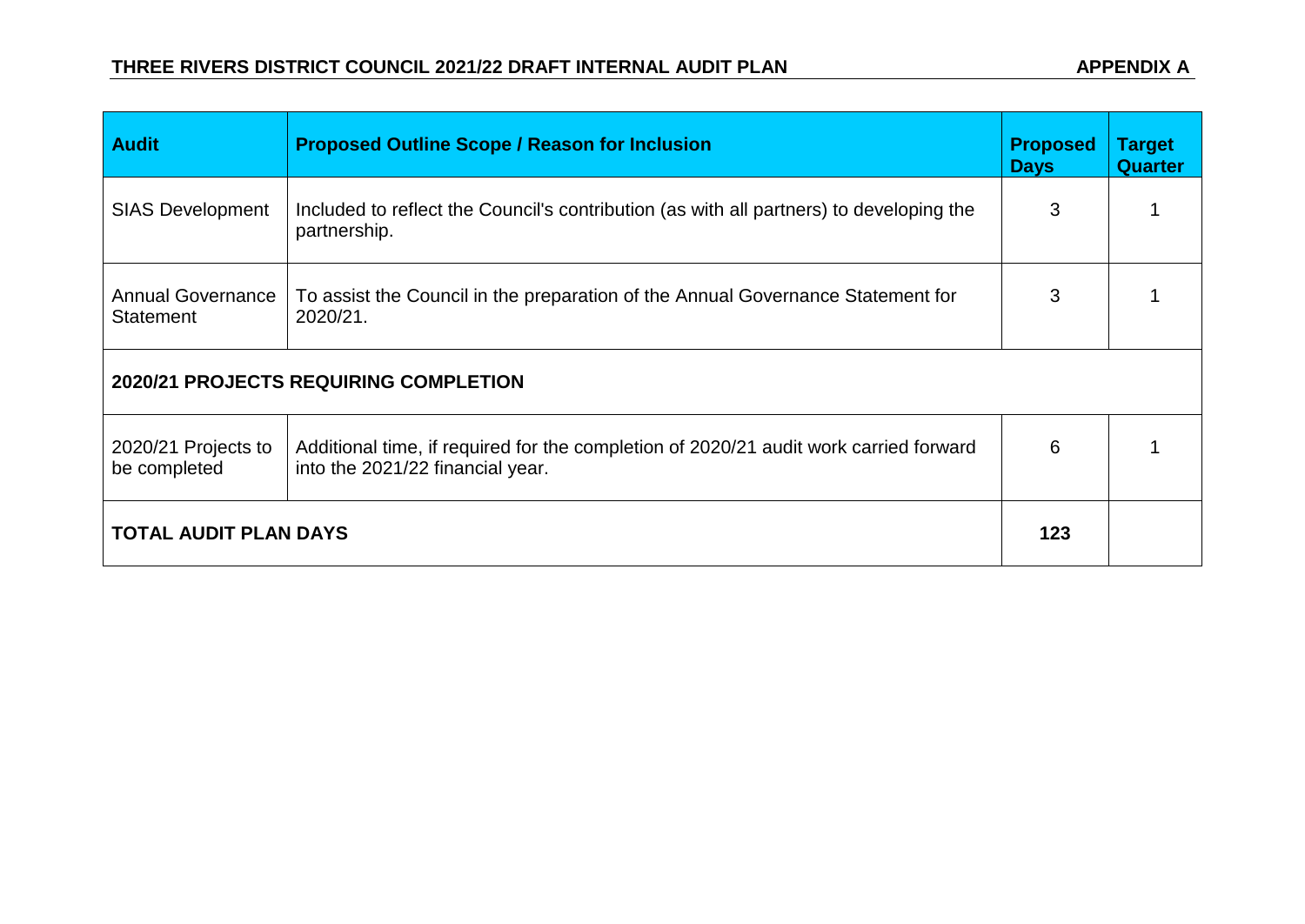| <b>Audit</b>                                 | <b>Proposed Outline Scope / Reason for Inclusion</b>                                                                      | <b>Proposed</b><br><b>Days</b> | <b>Target</b><br><b>Quarter</b> |  |
|----------------------------------------------|---------------------------------------------------------------------------------------------------------------------------|--------------------------------|---------------------------------|--|
| <b>SIAS Development</b>                      | Included to reflect the Council's contribution (as with all partners) to developing the<br>partnership.                   | 3                              |                                 |  |
| <b>Annual Governance</b><br><b>Statement</b> | To assist the Council in the preparation of the Annual Governance Statement for<br>2020/21.                               | 3                              |                                 |  |
| 2020/21 PROJECTS REQUIRING COMPLETION        |                                                                                                                           |                                |                                 |  |
| 2020/21 Projects to<br>be completed          | Additional time, if required for the completion of 2020/21 audit work carried forward<br>into the 2021/22 financial year. | 6                              |                                 |  |
| <b>TOTAL AUDIT PLAN DAYS</b>                 |                                                                                                                           | 123                            |                                 |  |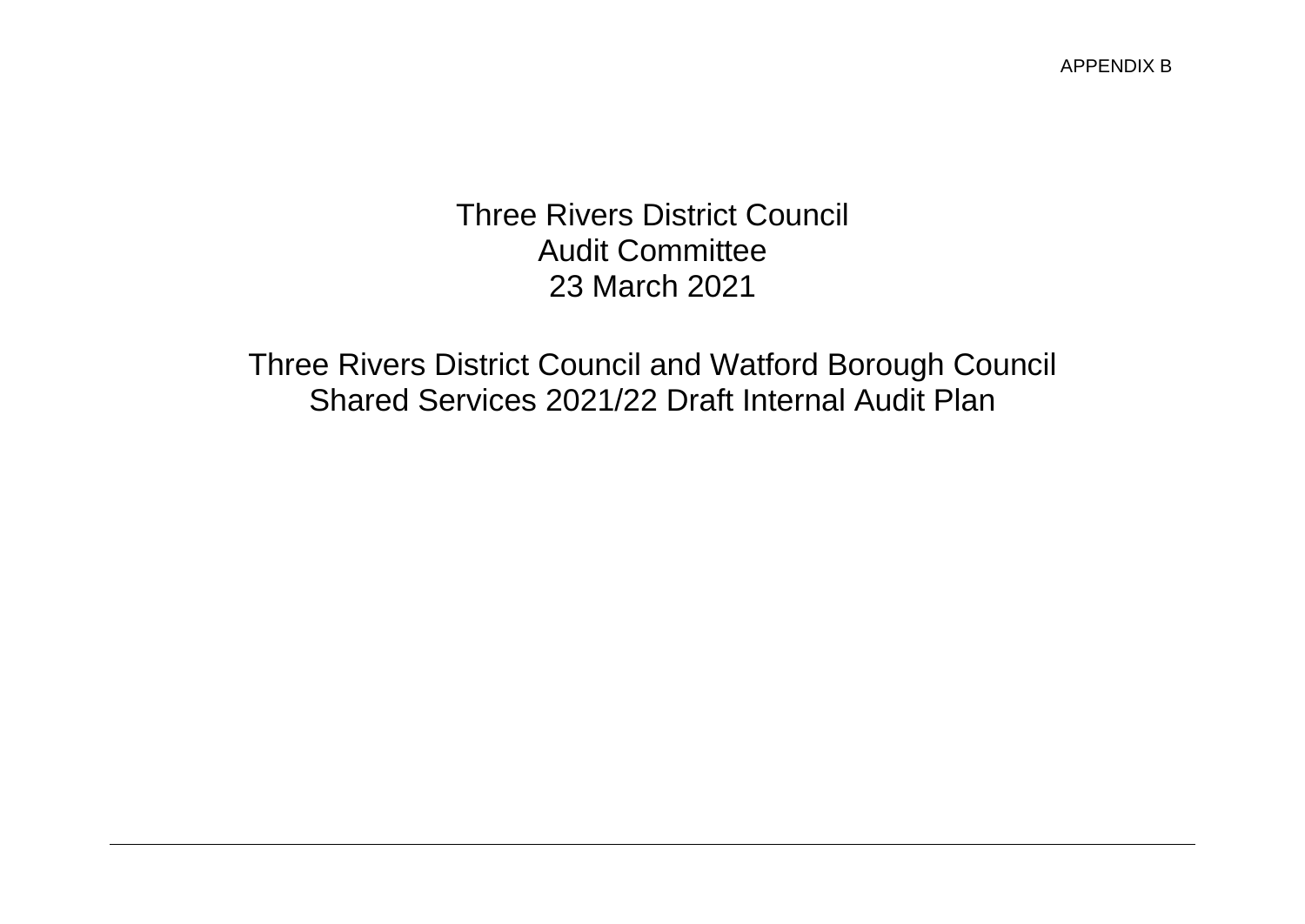### Three Rivers District Council Audit Committee 23 March 2021

Three Rivers District Council and Watford Borough Council Shared Services 2021/22 Draft Internal Audit Plan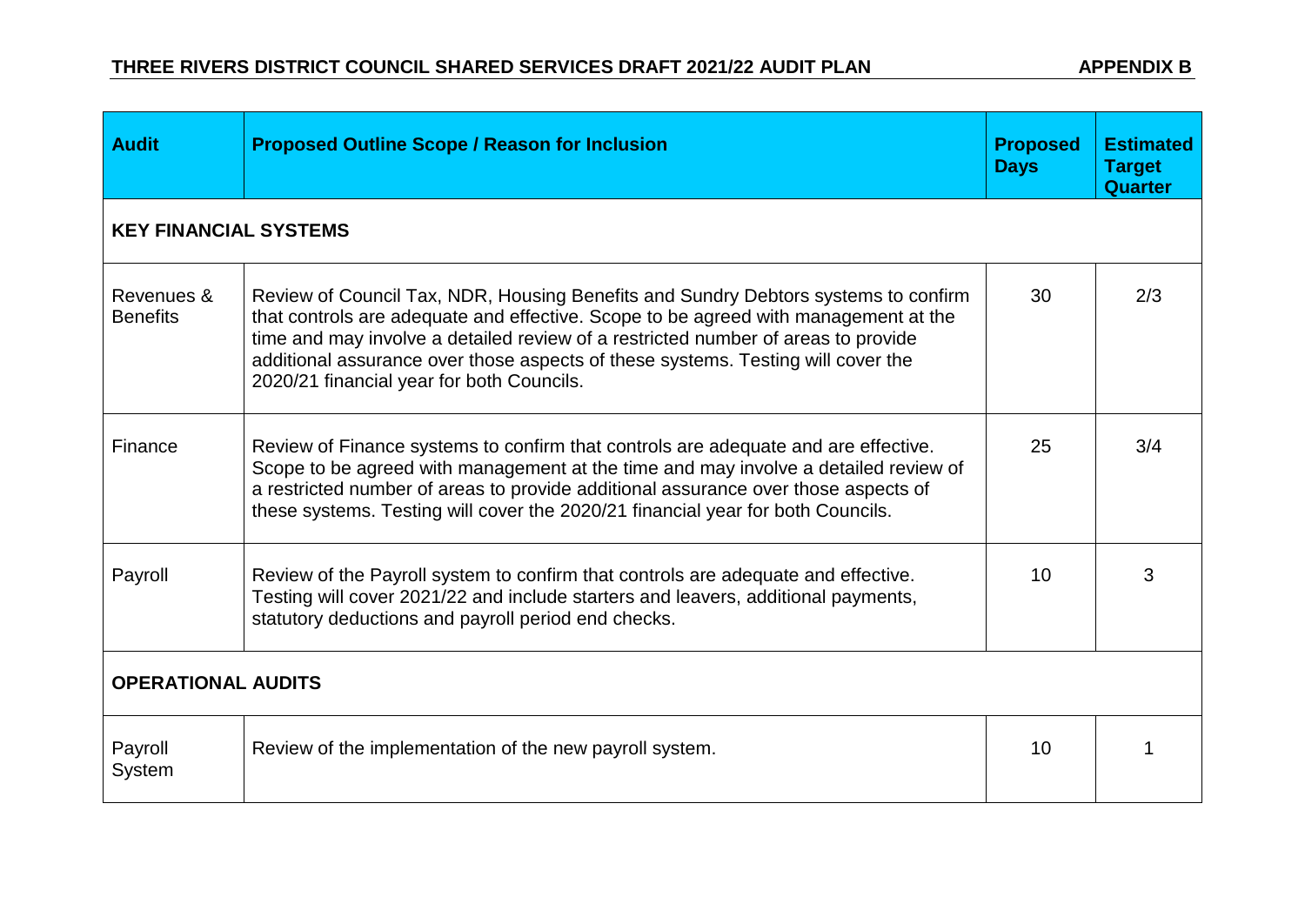| <b>Audit</b>                  | <b>Proposed Outline Scope / Reason for Inclusion</b>                                                                                                                                                                                                                                                                                                                                            | <b>Proposed</b><br><b>Days</b> | <b>Estimated</b><br><b>Target</b><br><b>Quarter</b> |  |  |
|-------------------------------|-------------------------------------------------------------------------------------------------------------------------------------------------------------------------------------------------------------------------------------------------------------------------------------------------------------------------------------------------------------------------------------------------|--------------------------------|-----------------------------------------------------|--|--|
| <b>KEY FINANCIAL SYSTEMS</b>  |                                                                                                                                                                                                                                                                                                                                                                                                 |                                |                                                     |  |  |
| Revenues &<br><b>Benefits</b> | Review of Council Tax, NDR, Housing Benefits and Sundry Debtors systems to confirm<br>that controls are adequate and effective. Scope to be agreed with management at the<br>time and may involve a detailed review of a restricted number of areas to provide<br>additional assurance over those aspects of these systems. Testing will cover the<br>2020/21 financial year for both Councils. | 30                             | 2/3                                                 |  |  |
| Finance                       | Review of Finance systems to confirm that controls are adequate and are effective.<br>Scope to be agreed with management at the time and may involve a detailed review of<br>a restricted number of areas to provide additional assurance over those aspects of<br>these systems. Testing will cover the 2020/21 financial year for both Councils.                                              | 25                             | 3/4                                                 |  |  |
| Payroll                       | Review of the Payroll system to confirm that controls are adequate and effective.<br>Testing will cover 2021/22 and include starters and leavers, additional payments,<br>statutory deductions and payroll period end checks.                                                                                                                                                                   | 10                             | 3                                                   |  |  |
| <b>OPERATIONAL AUDITS</b>     |                                                                                                                                                                                                                                                                                                                                                                                                 |                                |                                                     |  |  |
| Payroll<br>System             | Review of the implementation of the new payroll system.                                                                                                                                                                                                                                                                                                                                         | 10                             |                                                     |  |  |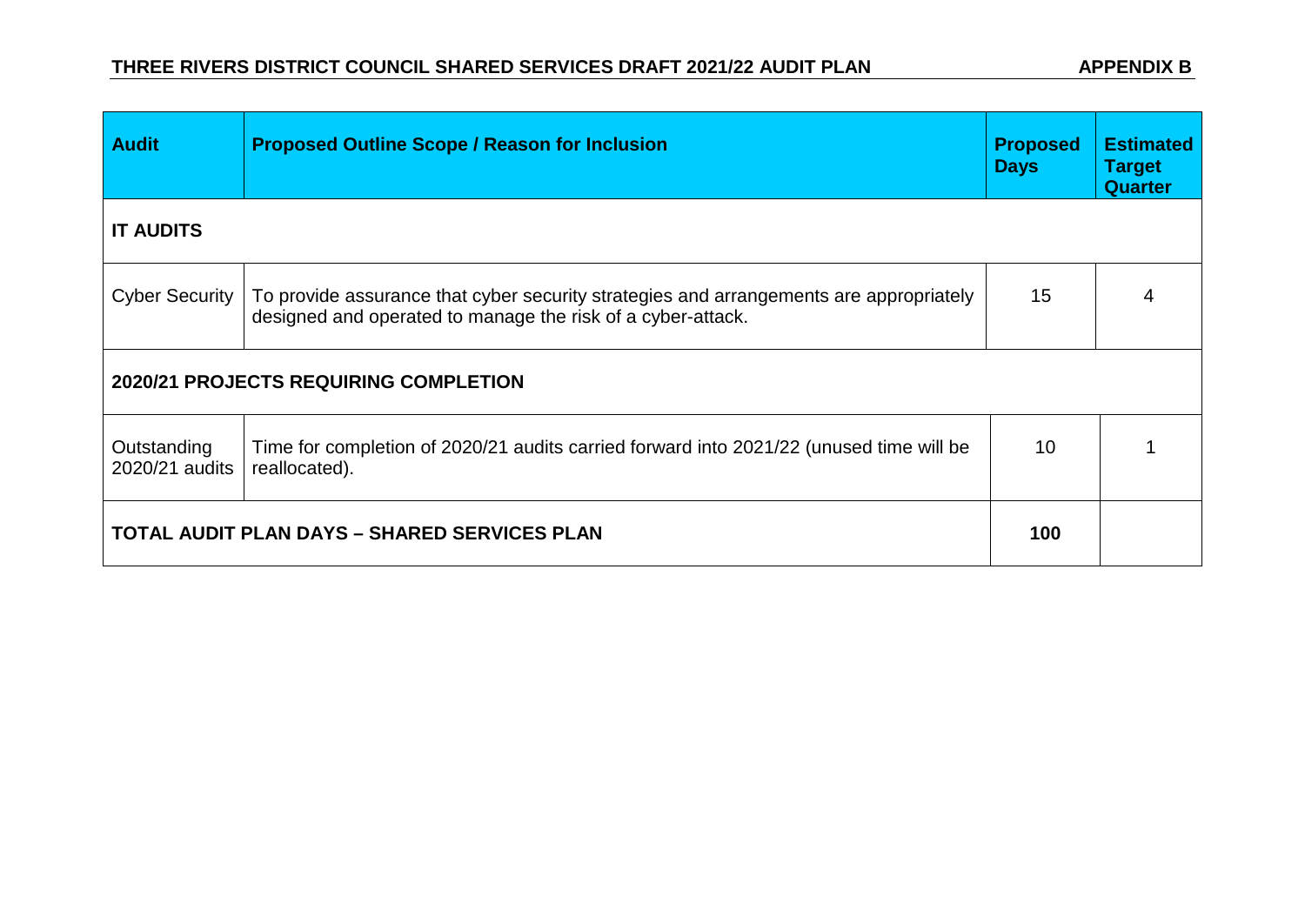| <b>Audit</b>                          | <b>Proposed Outline Scope / Reason for Inclusion</b>                                                                                                  | <b>Proposed</b><br><b>Days</b> | <b>Estimated</b><br><b>Target</b><br><b>Quarter</b> |  |  |
|---------------------------------------|-------------------------------------------------------------------------------------------------------------------------------------------------------|--------------------------------|-----------------------------------------------------|--|--|
| <b>IT AUDITS</b>                      |                                                                                                                                                       |                                |                                                     |  |  |
| <b>Cyber Security</b>                 | To provide assurance that cyber security strategies and arrangements are appropriately<br>designed and operated to manage the risk of a cyber-attack. | 15                             | 4                                                   |  |  |
| 2020/21 PROJECTS REQUIRING COMPLETION |                                                                                                                                                       |                                |                                                     |  |  |
| Outstanding<br>2020/21 audits         | Time for completion of 2020/21 audits carried forward into 2021/22 (unused time will be<br>reallocated).                                              | 10                             |                                                     |  |  |
|                                       | <b>TOTAL AUDIT PLAN DAYS - SHARED SERVICES PLAN</b>                                                                                                   | 100                            |                                                     |  |  |